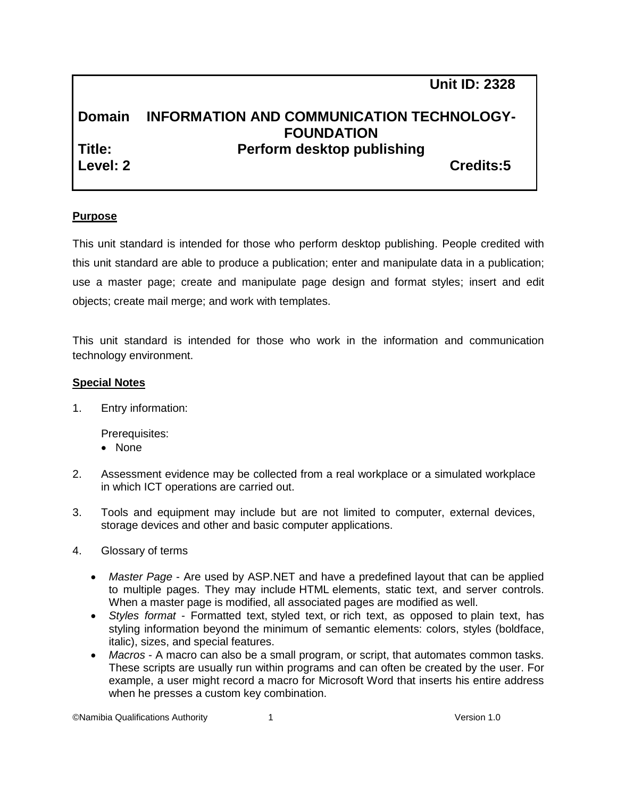**Unit ID: 2328**

# **Domain INFORMATION AND COMMUNICATION TECHNOLOGY-FOUNDATION Title: Perform desktop publishing Level: 2 Credits:5**

# **Purpose**

This unit standard is intended for those who perform desktop publishing. People credited with this unit standard are able to produce a publication; enter and manipulate data in a publication; use a master page; create and manipulate page design and format styles; insert and edit objects; create mail merge; and work with templates.

This unit standard is intended for those who work in the information and communication technology environment.

#### **Special Notes**

1. Entry information:

Prerequisites:

- None
- 2. Assessment evidence may be collected from a real workplace or a simulated workplace in which ICT operations are carried out.
- 3. Tools and equipment may include but are not limited to computer, external devices, storage devices and other and basic computer applications.
- 4. Glossary of terms
	- *Master Page* Are used by ASP.NET and have a predefined layout that can be applied to multiple pages. They may include HTML elements, static text, and server controls. When a master page is modified, all associated pages are modified as well.
	- *Styles format* Formatted text, styled text, or rich text, as opposed to plain text, has styling information beyond the minimum of semantic elements: colors, styles (boldface, italic), sizes, and special features.
	- *Macros* A macro can also be a small program, or script, that automates common tasks. These scripts are usually run within programs and can often be created by the user. For example, a user might record a macro for Microsoft Word that inserts his entire address when he presses a custom key combination.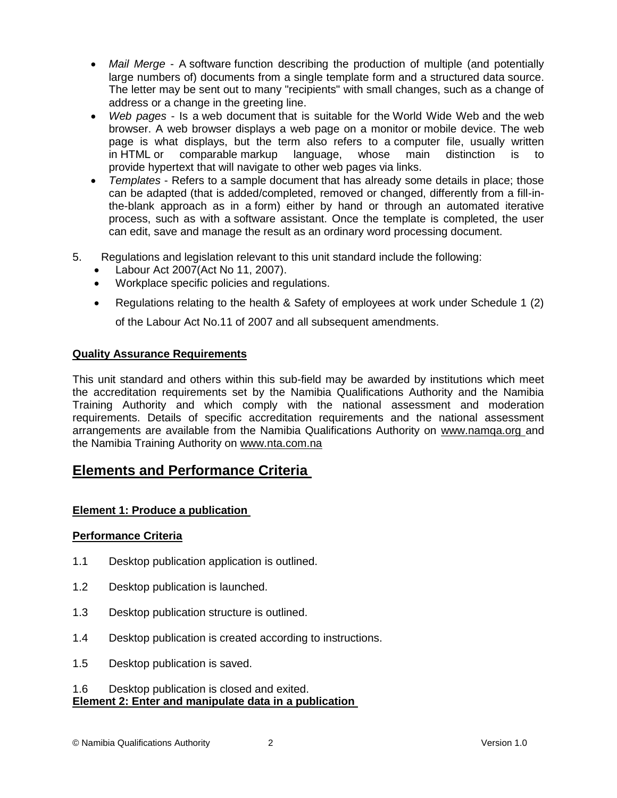- *Mail Merge* A software function describing the production of multiple (and potentially large numbers of) documents from a single template form and a structured data source. The letter may be sent out to many "recipients" with small changes, such as a change of address or a change in the greeting line.
- *Web pages* Is a [web document](http://en.wikipedia.org/wiki/Web_document) that is suitable for the [World Wide Web](http://en.wikipedia.org/wiki/World_Wide_Web) and the [web](http://en.wikipedia.org/wiki/Web_browser)  [browser.](http://en.wikipedia.org/wiki/Web_browser) A web browser displays a web page on a [monitor](http://en.wikipedia.org/wiki/Computer_display) or [mobile device.](http://en.wikipedia.org/wiki/Mobile_device) The web page is what displays, but the term also refers to a [computer file,](http://en.wikipedia.org/wiki/Computer_file) usually written in HTML or comparable [markup language,](http://en.wikipedia.org/wiki/Markup_language) whose main distinction is to provide [hypertext](http://en.wikipedia.org/wiki/Hypertext) that will [navigate](http://en.wikipedia.org/wiki/Navigation_bar) to other web pages via links.
- *Templates* Refers to a sample document that has already some details in place; those can be adapted (that is added/completed, removed or changed, differently from a fill-inthe-blank approach as in a form) either by hand or through an automated iterative process, such as with a software assistant. Once the template is completed, the user can edit, save and manage the result as an ordinary word processing document.
- 5. Regulations and legislation relevant to this unit standard include the following:
	- Labour Act 2007(Act No 11, 2007).
	- Workplace specific policies and regulations.
	- Regulations relating to the health & Safety of employees at work under Schedule 1 (2) of the Labour Act No.11 of 2007 and all subsequent amendments.

# **Quality Assurance Requirements**

This unit standard and others within this sub-field may be awarded by institutions which meet the accreditation requirements set by the Namibia Qualifications Authority and the Namibia Training Authority and which comply with the national assessment and moderation requirements. Details of specific accreditation requirements and the national assessment arrangements are available from the Namibia Qualifications Authority on [www.namqa.org a](http://www.namqa.org/)nd the Namibia Training Authority on [www.nta.com.na](http://www.nta.com.na/)

# **Elements and Performance Criteria**

# **Element 1: Produce a publication**

#### **Performance Criteria**

- 1.1 Desktop publication application is outlined.
- 1.2 Desktop publication is launched.
- 1.3 Desktop publication structure is outlined.
- 1.4 Desktop publication is created according to instructions.
- 1.5 Desktop publication is saved.
- 1.6 Desktop publication is closed and exited. **Element 2: Enter and manipulate data in a publication**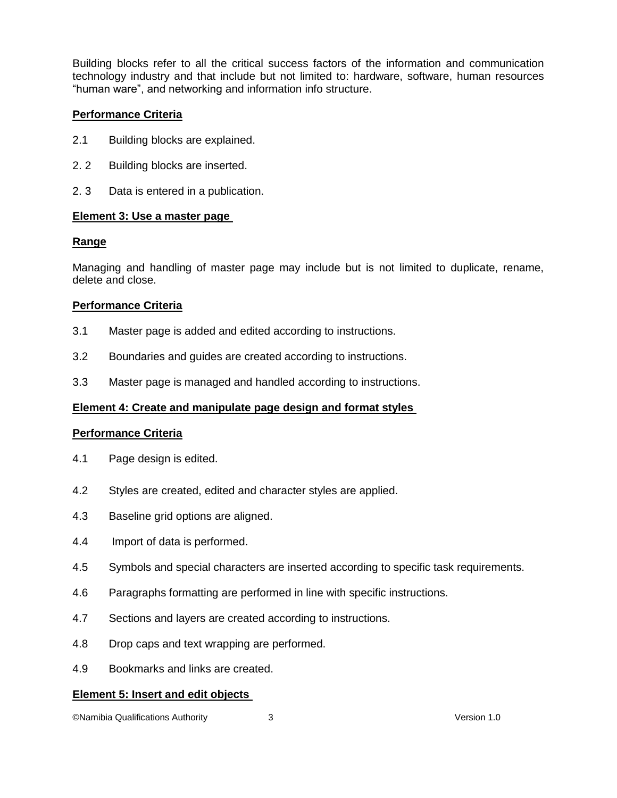Building blocks refer to all the critical success factors of the information and communication technology industry and that include but not limited to: hardware, software, human resources "human ware", and networking and information info structure.

# **Performance Criteria**

- 2.1 Building blocks are explained.
- 2. 2 Building blocks are inserted.
- 2. 3 Data is entered in a publication.

#### **Element 3: Use a master page**

# **Range**

Managing and handling of master page may include but is not limited to duplicate, rename, delete and close.

# **Performance Criteria**

- 3.1 Master page is added and edited according to instructions.
- 3.2 Boundaries and guides are created according to instructions.
- 3.3 Master page is managed and handled according to instructions.

# **Element 4: Create and manipulate page design and format styles**

#### **Performance Criteria**

- 4.1 Page design is edited.
- 4.2 Styles are created, edited and character styles are applied.
- 4.3 Baseline grid options are aligned.
- 4.4 Import of data is performed.
- 4.5 Symbols and special characters are inserted according to specific task requirements.
- 4.6 Paragraphs formatting are performed in line with specific instructions.
- 4.7 Sections and layers are created according to instructions.
- 4.8 Drop caps and text wrapping are performed.
- 4.9 Bookmarks and links are created.

#### **Element 5: Insert and edit objects**

©Namibia Qualifications Authority 3 Version 1.0